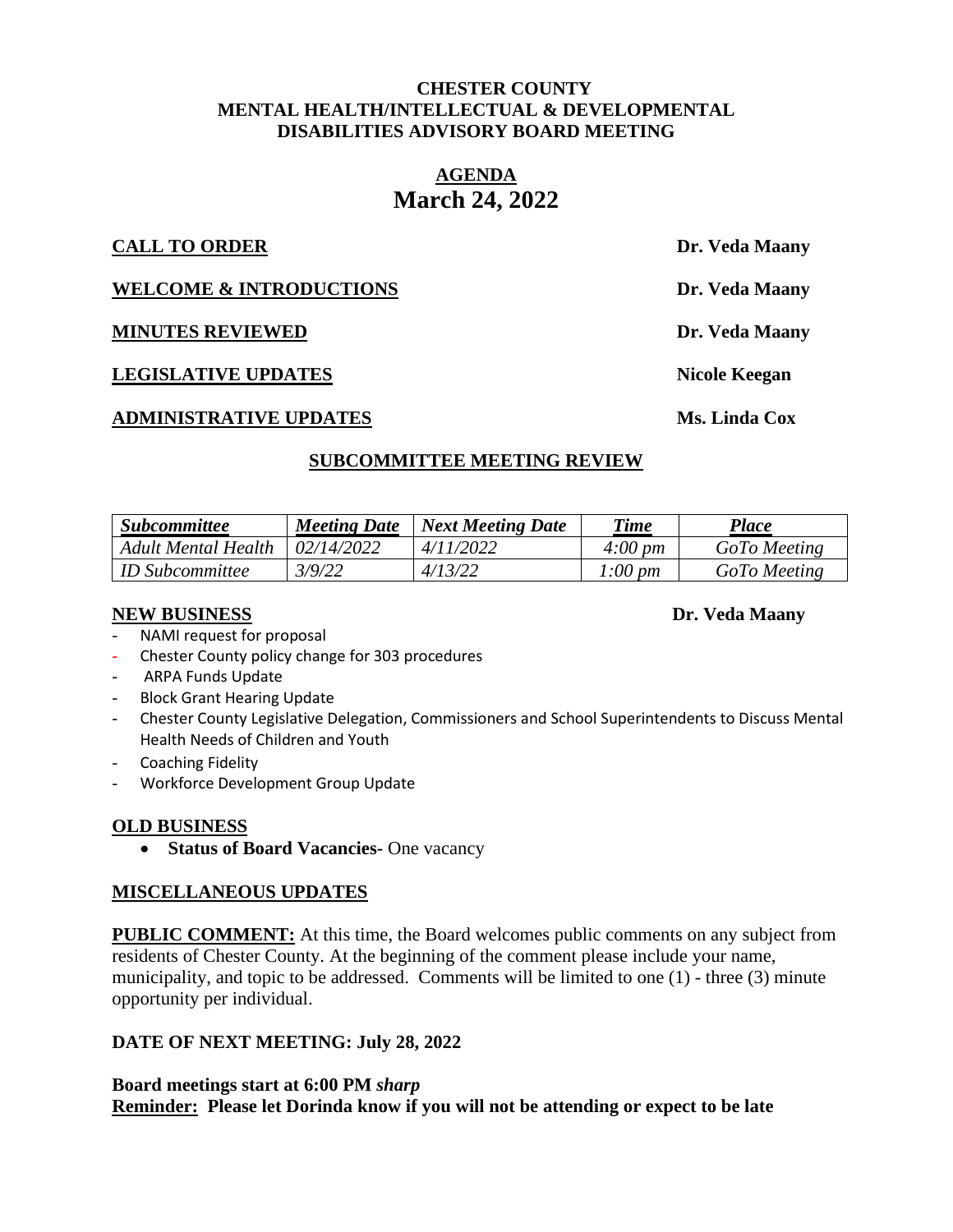#### **CHESTER COUNTY MENTAL HEALTH/INTELLECTUAL & DEVELOPMENTAL DISABILITIES ADVISORY BOARD MEETING**

# **AGENDA March 24, 2022**

#### **CALL TO ORDER Dr. Veda Maany**

**WELCOME & INTRODUCTIONS** Dr. Veda Maany

**MINUTES REVIEWED Dr. Veda Maany**

**LEGISLATIVE UPDATES Nicole Keegan**

#### **ADMINISTRATIVE UPDATES Ms. Linda Cox**

# **SUBCOMMITTEE MEETING REVIEW**

| <i><b>Subcommittee</b></i> | <b>Meeting Date</b> | <b>Next Meeting Date</b> | <b>Time</b>         | Place        |
|----------------------------|---------------------|--------------------------|---------------------|--------------|
| Adult Mental Health        | 02/14/2022          | 4/11/2022                | $4:00 \, \text{pm}$ | GoTo Meeting |
| <i>ID Subcommittee</i>     | 3/9/22              | 4/13/22                  | 1:00 pm             | GoTo Meeting |

#### **NEW BUSINESS Dr. Veda Maany**

NAMI request for proposal

- Chester County policy change for 303 procedures
- ARPA Funds Update
- Block Grant Hearing Update
- Chester County Legislative Delegation, Commissioners and School Superintendents to Discuss Mental Health Needs of Children and Youth
- Coaching Fidelity
- Workforce Development Group Update

# **OLD BUSINESS**

• **Status of Board Vacancies-** One vacancy

# **MISCELLANEOUS UPDATES**

**PUBLIC COMMENT:** At this time, the Board welcomes public comments on any subject from residents of Chester County. At the beginning of the comment please include your name, municipality, and topic to be addressed. Comments will be limited to one (1) - three (3) minute opportunity per individual.

# **DATE OF NEXT MEETING: July 28, 2022**

**Board meetings start at 6:00 PM** *sharp* **Reminder: Please let Dorinda know if you will not be attending or expect to be late**